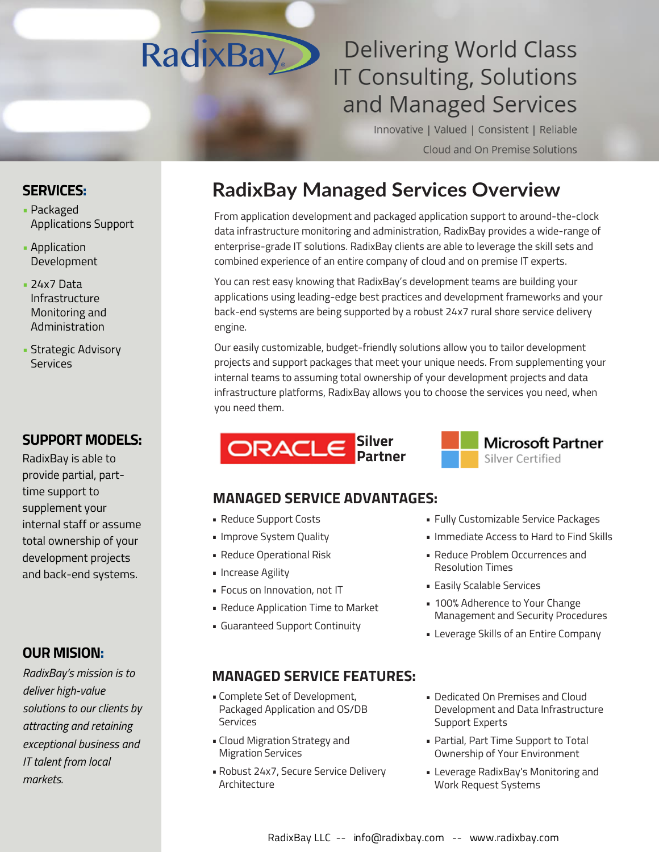# **RadixBay**

# **Delivering World Class IT Consulting, Solutions** and Managed Services

Innovative | Valued | Consistent | Reliable Cloud and On Premise Solutions

# **RadixBay Services Overview**

From application development and packaged application support to around-the-clock data infrastructure monitoring and administration, RadixBay provides a wide-range of enterprise-grade IT solutions. RadixBay clients are able to leverage the skill sets and combined experience of an entire company of cloud and on premise IT experts.

You can rest easy knowing that RadixBay's development teams are building your applications using leading-edge best practices and development frameworks and your back-end systems are being supported by a robust 24x7 rural shore service delivery engine. Our dedicated Salesforce and Oracle EBS teams help you to fully leverage your enterprise software investment.

Our easily customizable, budget-friendly solutions allow you to tailor development projects and support packages that meet your unique needs. From supplementing your internal teams to assuming total ownership of your development projects and data infrastructure platforms, RadixBay allows you to choose the services you need, when you need them.



## **MANAGED SERVICE ADVANTAGES:**

- Reduce Support Costs
- Improve System Quality
- Reduce Operational Risk
- Increase Agility
- Focus on Innovation, not IT
- Reduce Application Time to Market
- Guaranteed Support Continuity

#### **MANAGED SERVICE FEATURES:**

- Complete Set of Development, Packaged Application and OS/DB Services
- Cloud Migration Strategy and Migration Services
- Robust 24x7, Secure Service Delivery Architecture
- Fully Customizable Service Packages
- Immediate Access to Hard to Find Skills

**Microsoft Partner** 

Silver Certified

- Reduce Problem Occurrences and Resolution Times
- Easily Scalable Services
- 100% Adherence to Your Change Management and Security Procedures
- Leverage Skills of an Entire Company
- Dedicated On Premises and Cloud Development and Data Infrastructure Support Experts
- Partial, Part Time Support to Total Ownership of Your Environment
- Leverage RadixBay's Monitoring and Work Request Systems

## **SERVICES:**

- Packaged Applications Support
- Salesforce and Oracle EBS Specialties
- Application Development
- 24x7 Data Infrastructure Monitoring and Administration

#### **SUPPORT MODELS:**

RadixBay is able to provide partial, part-time support to supplement your internal staff or assume total ownership of your development projects and back-end systems.

#### **OUR MISSION:**

*RadixBay's mission is to deliver high-value solutions to our clients by attracting and retaining exceptional business and IT talent from local markets.*